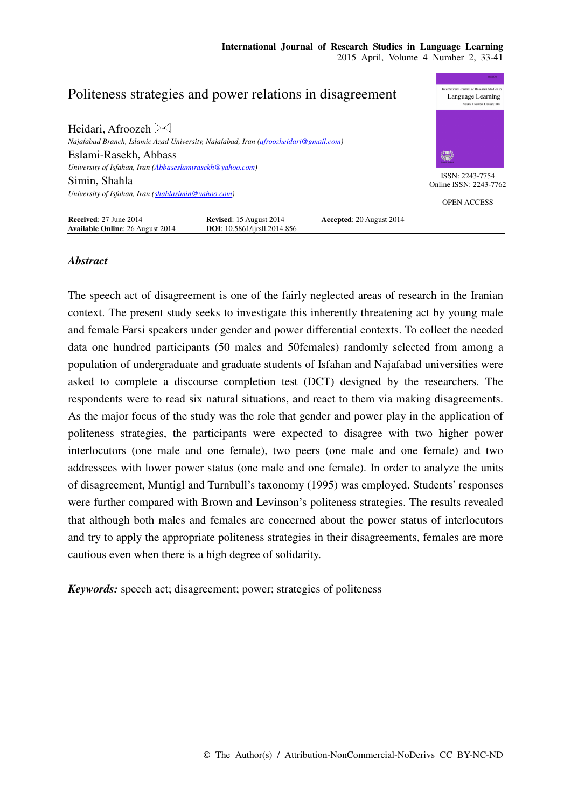## nal Journal of Research Studies Politeness strategies and power relations in disagreement Language Learning Heidari, Afroozeh  $\bowtie$ *Najafabad Branch, Islamic Azad University, Najafabad, Iran (afroozheidari@gmail.com)*  Eslami-Rasekh, Abbass 9 *University of Isfahan, Iran (Abbaseslamirasekh@yahoo.com)*  ISSN: 2243-7754 Simin, Shahla Online ISSN: 2243-7762 *University of Isfahan, Iran (shahlasimin@yahoo.com)*  OPEN ACCESS **Received:** 27 June 2014 **Revised:** 15 August 2014 **Accepted:** 20 August 2014 **Available Online:** 26 August 2014 **DOI:** 10.5861/ijrsll.2014.856 **Available Online**: 26 August 2014

# *Abstract*

The speech act of disagreement is one of the fairly neglected areas of research in the Iranian context. The present study seeks to investigate this inherently threatening act by young male and female Farsi speakers under gender and power differential contexts. To collect the needed data one hundred participants (50 males and 50females) randomly selected from among a population of undergraduate and graduate students of Isfahan and Najafabad universities were asked to complete a discourse completion test (DCT) designed by the researchers. The respondents were to read six natural situations, and react to them via making disagreements. As the major focus of the study was the role that gender and power play in the application of politeness strategies, the participants were expected to disagree with two higher power interlocutors (one male and one female), two peers (one male and one female) and two addressees with lower power status (one male and one female). In order to analyze the units of disagreement, Muntigl and Turnbull's taxonomy (1995) was employed. Students' responses were further compared with Brown and Levinson's politeness strategies. The results revealed that although both males and females are concerned about the power status of interlocutors and try to apply the appropriate politeness strategies in their disagreements, females are more cautious even when there is a high degree of solidarity.

*Keywords:* speech act; disagreement; power; strategies of politeness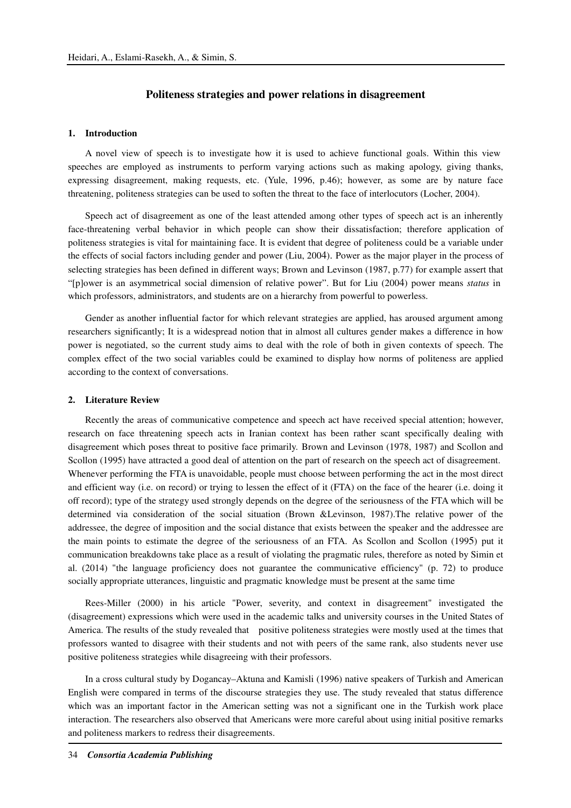# **Politeness strategies and power relations in disagreement**

## **1. Introduction**

A novel view of speech is to investigate how it is used to achieve functional goals. Within this view speeches are employed as instruments to perform varying actions such as making apology, giving thanks, expressing disagreement, making requests, etc. (Yule, 1996, p.46); however, as some are by nature face threatening, politeness strategies can be used to soften the threat to the face of interlocutors (Locher, 2004).

Speech act of disagreement as one of the least attended among other types of speech act is an inherently face-threatening verbal behavior in which people can show their dissatisfaction; therefore application of politeness strategies is vital for maintaining face. It is evident that degree of politeness could be a variable under the effects of social factors including gender and power (Liu, 2004) . Power as the major player in the process of selecting strategies has been defined in different ways; Brown and Levinson (1987, p.77) for example assert that "[p]ower is an asymmetrical social dimension of relative power". But for Liu (2004) power means *status* in which professors, administrators, and students are on a hierarchy from powerful to powerless.

Gender as another influential factor for which relevant strategies are applied, has aroused argument among researchers significantly; It is a widespread notion that in almost all cultures gender makes a difference in how power is negotiated, so the current study aims to deal with the role of both in given contexts of speech. The complex effect of the two social variables could be examined to display how norms of politeness are applied according to the context of conversations.

#### **2. Literature Review**

Recently the areas of communicative competence and speech act have received special attention; however, research on face threatening speech acts in Iranian context has been rather scant specifically dealing with disagreement which poses threat to positive face primarily. Brown and Levinson (1978, 1987) and Scollon and Scollon (1995) have attracted a good deal of attention on the part of research on the speech act of disagreement. Whenever performing the FTA is unavoidable, people must choose between performing the act in the most direct and efficient way (i.e. on record) or trying to lessen the effect of it (FTA) on the face of the hearer (i.e. doing it off record); type of the strategy used strongly depends on the degree of the seriousness of the FTA which will be determined via consideration of the social situation (Brown &Levinson, 1987).The relative power of the addressee, the degree of imposition and the social distance that exists between the speaker and the addressee are the main points to estimate the degree of the seriousness of an FTA. As Scollon and Scollon (1995) put it communication breakdowns take place as a result of violating the pragmatic rules, therefore as noted by Simin et al. (2014) "the language proficiency does not guarantee the communicative efficiency" (p. 72) to produce socially appropriate utterances, linguistic and pragmatic knowledge must be present at the same time

Rees-Miller (2000) in his article "Power, severity, and context in disagreement" investigated the (disagreement) expressions which were used in the academic talks and university courses in the United States of America. The results of the study revealed that positive politeness strategies were mostly used at the times that professors wanted to disagree with their students and not with peers of the same rank, also students never use positive politeness strategies while disagreeing with their professors.

In a cross cultural study by Dogancay–Aktuna and Kamisli (1996) native speakers of Turkish and American English were compared in terms of the discourse strategies they use. The study revealed that status difference which was an important factor in the American setting was not a significant one in the Turkish work place interaction. The researchers also observed that Americans were more careful about using initial positive remarks and politeness markers to redress their disagreements.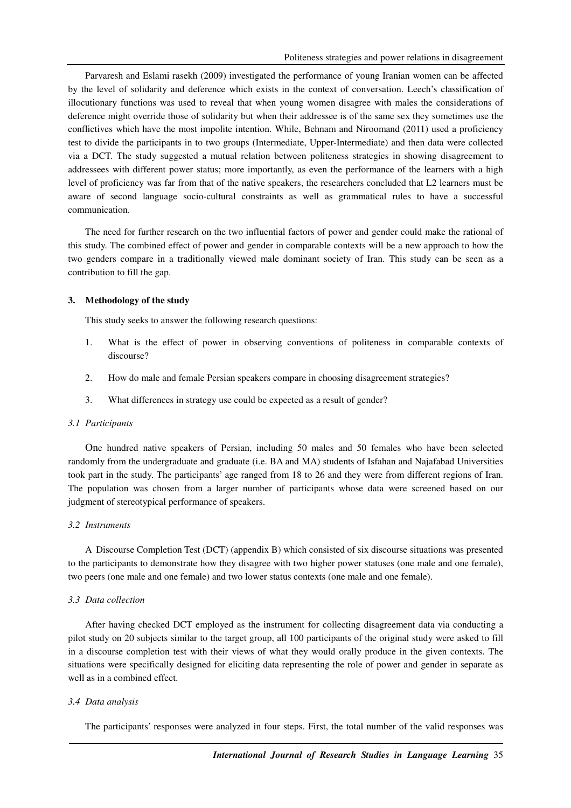Parvaresh and Eslami rasekh (2009) investigated the performance of young Iranian women can be affected by the level of solidarity and deference which exists in the context of conversation. Leech's classification of illocutionary functions was used to reveal that when young women disagree with males the considerations of deference might override those of solidarity but when their addressee is of the same sex they sometimes use the conflictives which have the most impolite intention. While, Behnam and Niroomand (2011) used a proficiency test to divide the participants in to two groups (Intermediate, Upper-Intermediate) and then data were collected via a DCT. The study suggested a mutual relation between politeness strategies in showing disagreement to addressees with different power status; more importantly, as even the performance of the learners with a high level of proficiency was far from that of the native speakers, the researchers concluded that L2 learners must be aware of second language socio-cultural constraints as well as grammatical rules to have a successful communication.

The need for further research on the two influential factors of power and gender could make the rational of this study. The combined effect of power and gender in comparable contexts will be a new approach to how the two genders compare in a traditionally viewed male dominant society of Iran. This study can be seen as a contribution to fill the gap.

# **3. Methodology of the study**

This study seeks to answer the following research questions:

- 1. What is the effect of power in observing conventions of politeness in comparable contexts of discourse?
- 2. How do male and female Persian speakers compare in choosing disagreement strategies?
- 3. What differences in strategy use could be expected as a result of gender?

## *3.1 Participants*

One hundred native speakers of Persian, including 50 males and 50 females who have been selected randomly from the undergraduate and graduate (i.e. BA and MA) students of Isfahan and Najafabad Universities took part in the study. The participants' age ranged from 18 to 26 and they were from different regions of Iran. The population was chosen from a larger number of participants whose data were screened based on our judgment of stereotypical performance of speakers.

### *3.2 Instruments*

A Discourse Completion Test (DCT) (appendix B) which consisted of six discourse situations was presented to the participants to demonstrate how they disagree with two higher power statuses (one male and one female), two peers (one male and one female) and two lower status contexts (one male and one female).

#### *3.3 Data collection*

After having checked DCT employed as the instrument for collecting disagreement data via conducting a pilot study on 20 subjects similar to the target group, all 100 participants of the original study were asked to fill in a discourse completion test with their views of what they would orally produce in the given contexts. The situations were specifically designed for eliciting data representing the role of power and gender in separate as well as in a combined effect.

#### *3.4 Data analysis*

The participants' responses were analyzed in four steps. First, the total number of the valid responses was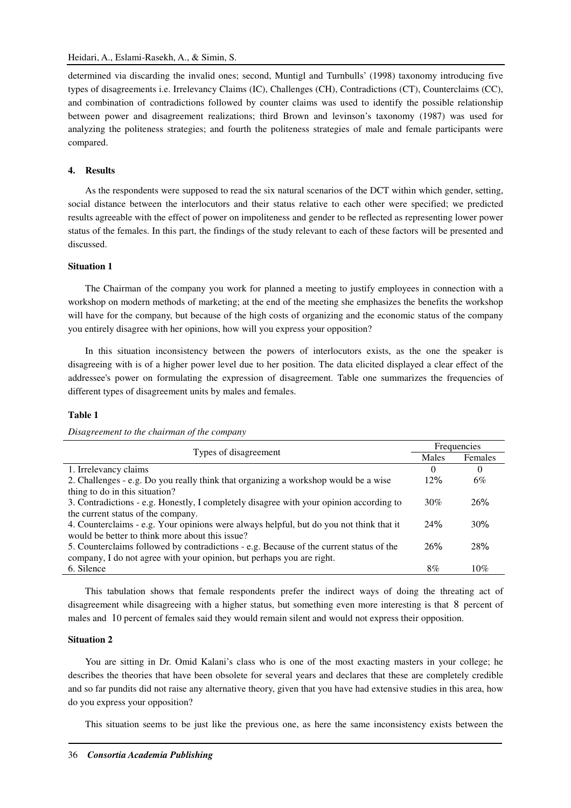determined via discarding the invalid ones; second, Muntigl and Turnbulls' (1998) taxonomy introducing five types of disagreements i.e. Irrelevancy Claims (IC), Challenges (CH), Contradictions (CT), Counterclaims (CC), and combination of contradictions followed by counter claims was used to identify the possible relationship between power and disagreement realizations; third Brown and levinson's taxonomy (1987) was used for analyzing the politeness strategies; and fourth the politeness strategies of male and female participants were compared.

#### **4. Results**

As the respondents were supposed to read the six natural scenarios of the DCT within which gender, setting, social distance between the interlocutors and their status relative to each other were specified; we predicted results agreeable with the effect of power on impoliteness and gender to be reflected as representing lower power status of the females. In this part, the findings of the study relevant to each of these factors will be presented and discussed.

## **Situation 1**

The Chairman of the company you work for planned a meeting to justify employees in connection with a workshop on modern methods of marketing; at the end of the meeting she emphasizes the benefits the workshop will have for the company, but because of the high costs of organizing and the economic status of the company you entirely disagree with her opinions, how will you express your opposition?

In this situation inconsistency between the powers of interlocutors exists, as the one the speaker is disagreeing with is of a higher power level due to her position. The data elicited displayed a clear effect of the addressee's power on formulating the expression of disagreement. Table one summarizes the frequencies of different types of disagreement units by males and females.

**Females** 

 $6%$ 

30% 26%

24% 30%

26 % 28 %

### **Table 1**

| різадтестені ю іне спаттан ор іне сотрану                                               |       |             |  |
|-----------------------------------------------------------------------------------------|-------|-------------|--|
|                                                                                         |       | Frequencies |  |
| Types of disagreement                                                                   | Males | Fema        |  |
| 1. Irrelevancy claims                                                                   | 0     | $\Omega$    |  |
| 2. Challenges - e.g. Do you really think that organizing a workshop would be a wise     | 12%   | 6%          |  |
| thing to do in this situation?                                                          |       |             |  |
| 3. Contradictions - e.g. Honestly, I completely disagree with your opinion according to | 30%   | 269         |  |
| the current status of the company.                                                      |       |             |  |
| 4. Counterclaims - e.g. Your opinions were always helpful, but do you not think that it | 24%   | 30%         |  |
| would be better to think more about this issue?                                         |       |             |  |
| 5. Counterclaims followed by contradictions - e.g. Because of the current status of the | 26%   | 28%         |  |

*Disagreement to the chairman of the company* 

company, I do not agree with your opinion, but perhaps you are right.

This tabulation shows that female respondents prefer the indirect ways of doing the threating act of disagreement while disagreeing with a higher status, but something even more interesting is that 8 percent of males and 10 percent of females said they would remain silent and would not express their opposition.

6. Silence  $8\%$  10%

#### **Situation 2**

You are sitting in Dr. Omid Kalani's class who is one of the most exacting masters in your college; he describes the theories that have been obsolete for several years and declares that these are completely credible and so far pundits did not raise any alternative theory, given that you have had extensive studies in this area, how do you express your opposition?

This situation seems to be just like the previous one, as here the same inconsistency exists between the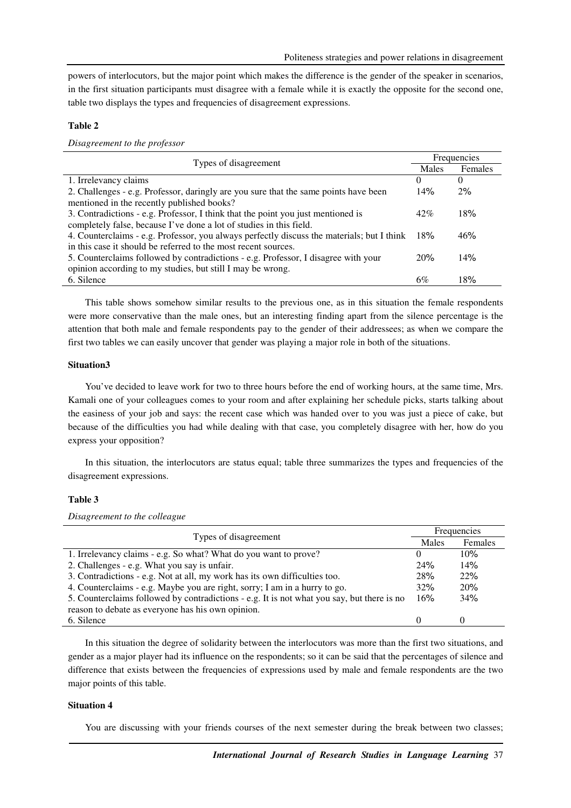powers of interlocutors, but the major point which makes the difference is the gender of the speaker in scenarios, in the first situation participants must disagree with a female while it is exactly the opposite for the second one, table two displays the types and frequencies of disagreement expressions.

## **Table 2**

*Disagreement to the professor* 

| Types of disagreement                                                                      | Frequencies |          |
|--------------------------------------------------------------------------------------------|-------------|----------|
|                                                                                            | Males       | Females  |
| 1. Irrelevancy claims                                                                      | $\Omega$    | $\Omega$ |
| 2. Challenges - e.g. Professor, daringly are you sure that the same points have been       | 14%         | 2%       |
| mentioned in the recently published books?                                                 |             |          |
| 3. Contradictions - e.g. Professor, I think that the point you just mentioned is           | 42%         | 18%      |
| completely false, because I've done a lot of studies in this field.                        |             |          |
| 4. Counterclaims - e.g. Professor, you always perfectly discuss the materials; but I think | 18%         | 46%      |
| in this case it should be referred to the most recent sources.                             |             |          |
| 5. Counterclaims followed by contradictions - e.g. Professor, I disagree with your         | 20%         | 14%      |
| opinion according to my studies, but still I may be wrong.                                 |             |          |
| 6. Silence                                                                                 | 6%          | 18%      |

This table shows somehow similar results to the previous one, as in this situation the female respondents were more conservative than the male ones, but an interesting finding apart from the silence percentage is the attention that both male and female respondents pay to the gender of their addressees; as when we compare the first two tables we can easily uncover that gender was playing a major role in both of the situations.

## **Situation3**

You've decided to leave work for two to three hours before the end of working hours, at the same time, Mrs. Kamali one of your colleagues comes to your room and after explaining her schedule picks, starts talking about the easiness of your job and says: the recent case which was handed over to you was just a piece of cake, but because of the difficulties you had while dealing with that case, you completely disagree with her, how do you express your opposition?

In this situation, the interlocutors are status equal; table three summarizes the types and frequencies of the disagreement expressions.

## **Table 3**

*Disagreement to the colleague* 

| Types of disagreement                                                                      | Frequencies  |                   |
|--------------------------------------------------------------------------------------------|--------------|-------------------|
|                                                                                            | Males        | Females           |
| 1. Irrelevancy claims - e.g. So what? What do you want to prove?                           | O            | 10%               |
| 2. Challenges - e.g. What you say is unfair.                                               | 24%          | 14%               |
| 3. Contradictions - e.g. Not at all, my work has its own difficulties too.                 | 28%          | 22%               |
| 4. Counterclaims - e.g. Maybe you are right, sorry; I am in a hurry to go.                 | 32%          | 20%               |
| 5. Counterclaims followed by contradictions - e.g. It is not what you say, but there is no | 16%          | 34%               |
| reason to debate as everyone has his own opinion.                                          |              |                   |
| 6. Silence                                                                                 | $\mathbf{0}$ | $\mathbf{\Omega}$ |

In this situation the degree of solidarity between the interlocutors was more than the first two situations, and gender as a major player had its influence on the respondents; so it can be said that the percentages of silence and difference that exists between the frequencies of expressions used by male and female respondents are the two major points of this table.

#### **Situation 4**

You are discussing with your friends courses of the next semester during the break between two classes;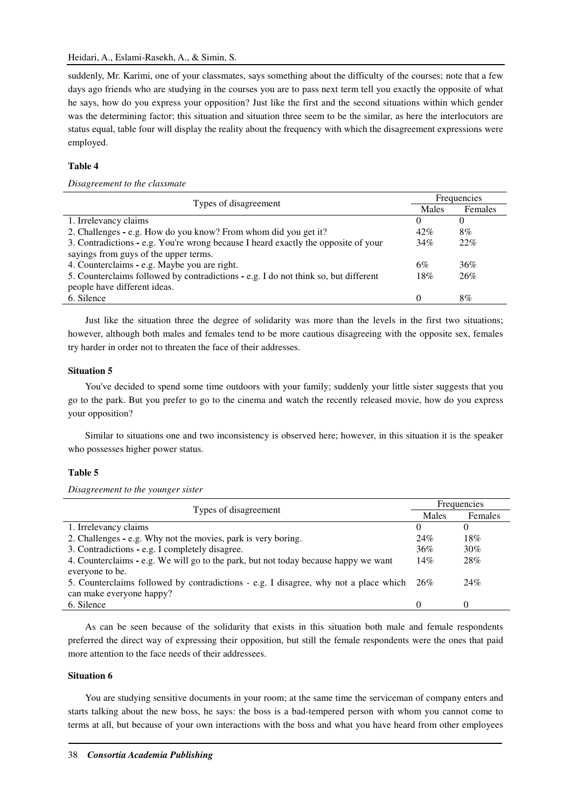suddenly, Mr. Karimi, one of your classmates, says something about the difficulty of the courses; note that a few days ago friends who are studying in the courses you are to pass next term tell you exactly the opposite of what he says, how do you express your opposition? Just like the first and the second situations within which gender was the determining factor; this situation and situation three seem to be the similar, as here the interlocutors are status equal, table four will display the reality about the frequency with which the disagreement expressions were employed.

## **Table 4**

*Disagreement to the classmate* 

| Types of disagreement                                                               | Frequencies |         |
|-------------------------------------------------------------------------------------|-------------|---------|
|                                                                                     | Males       | Females |
| 1. Irrelevancy claims                                                               | $\theta$    |         |
| 2. Challenges - e.g. How do you know? From whom did you get it?                     | 42%         | 8%      |
| 3. Contradictions - e.g. You're wrong because I heard exactly the opposite of your  | 34%         | 22%     |
| sayings from guys of the upper terms.                                               |             |         |
| 4. Counterclaims - e.g. Maybe you are right.                                        | 6%          | 36%     |
| 5. Counterclaims followed by contradictions - e.g. I do not think so, but different | 18%         | 26%     |
| people have different ideas.                                                        |             |         |
| 6. Silence                                                                          | $\Omega$    | 8%      |

Just like the situation three the degree of solidarity was more than the levels in the first two situations; however, although both males and females tend to be more cautious disagreeing with the opposite sex, females try harder in order not to threaten the face of their addresses.

#### **Situation 5**

You've decided to spend some time outdoors with your family; suddenly your little sister suggests that you go to the park. But you prefer to go to the cinema and watch the recently released movie, how do you express your opposition?

Similar to situations one and two inconsistency is observed here; however, in this situation it is the speaker who possesses higher power status.

#### **Table 5**

*Disagreement to the younger sister* 

| Types of disagreement                                                                    | Frequencies  |          |
|------------------------------------------------------------------------------------------|--------------|----------|
|                                                                                          | Males        | Females  |
| 1. Irrelevancy claims                                                                    | $\Omega$     | $\Omega$ |
| 2. Challenges - e.g. Why not the movies, park is very boring.                            | 24%          | 18%      |
| 3. Contradictions - e.g. I completely disagree.                                          | 36%          | 30%      |
| 4. Counterclaims - e.g. We will go to the park, but not today because happy we want      | 14%          | 28%      |
| everyone to be.                                                                          |              |          |
| 5. Counterclaims followed by contradictions - e.g. I disagree, why not a place which 26% |              | 24%      |
| can make everyone happy?                                                                 |              |          |
| 6. Silence                                                                               | $\mathbf{0}$ | $\Omega$ |

As can be seen because of the solidarity that exists in this situation both male and female respondents preferred the direct way of expressing their opposition, but still the female respondents were the ones that paid more attention to the face needs of their addressees.

## **Situation 6**

You are studying sensitive documents in your room; at the same time the serviceman of company enters and starts talking about the new boss, he says: the boss is a bad-tempered person with whom you cannot come to terms at all, but because of your own interactions with the boss and what you have heard from other employees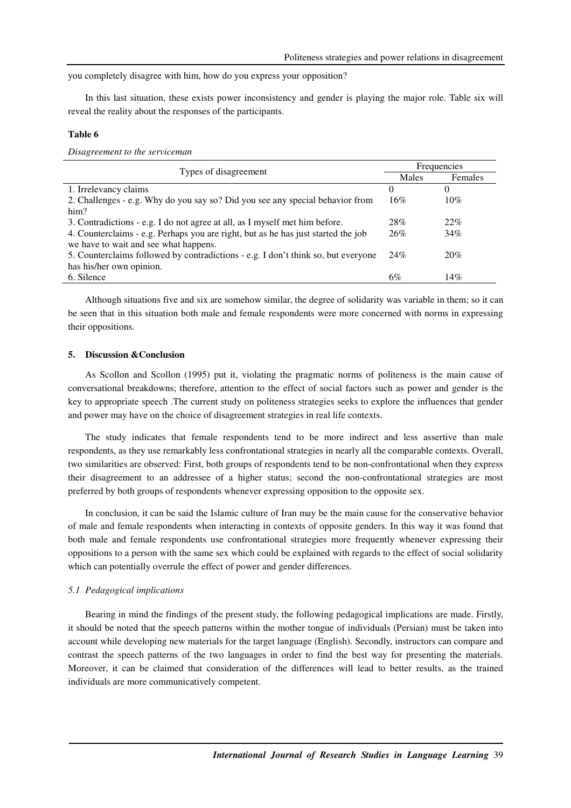you completely disagree with him, how do you express your opposition?

In this last situation, these exists power inconsistency and gender is playing the major role. Table six will reveal the reality about the responses of the participants.

# **Table 6**

*Disagreement to the serviceman* 

| Types of disagreement                                                             | Frequencies |          |
|-----------------------------------------------------------------------------------|-------------|----------|
|                                                                                   | Males       | Females  |
| 1. Irrelevancy claims                                                             | 0           | $^{(1)}$ |
| 2. Challenges - e.g. Why do you say so? Did you see any special behavior from     | 16%         | 10%      |
| him?                                                                              |             |          |
| 3. Contradictions - e.g. I do not agree at all, as I myself met him before.       | 28%         | $22\%$   |
| 4. Counterclaims - e.g. Perhaps you are right, but as he has just started the job | 26%         | 34%      |
| we have to wait and see what happens.                                             |             |          |
| 5. Counterclaims followed by contradictions - e.g. I don't think so, but everyone | 24%         | 20%      |
| has his/her own opinion.                                                          |             |          |
| 6. Silence                                                                        | 6%          | 14%      |
|                                                                                   |             |          |

Although situations five and six are somehow similar, the degree of solidarity was variable in them; so it can be seen that in this situation both male and female respondents were more concerned with norms in expressing their oppositions.

# **5. Discussion &Conclusion**

As Scollon and Scollon (1995) put it, violating the pragmatic norms of politeness is the main cause of conversational breakdowns; therefore, attention to the effect of social factors such as power and gender is the key to appropriate speech .The current study on politeness strategies seeks to explore the influences that gender and power may have on the choice of disagreement strategies in real life contexts.

The study indicates that female respondents tend to be more indirect and less assertive than male respondents, as they use remarkably less confrontational strategies in nearly all the comparable contexts. Overall, two similarities are observed: First, both groups of respondents tend to be non-confrontational when they express their disagreement to an addressee of a higher status; second the non-confrontational strategies are most preferred by both groups of respondents whenever expressing opposition to the opposite sex.

In conclusion, it can be said the Islamic culture of Iran may be the main cause for the conservative behavior of male and female respondents when interacting in contexts of opposite genders. In this way it was found that both male and female respondents use confrontational strategies more frequently whenever expressing their oppositions to a person with the same sex which could be explained with regards to the effect of social solidarity which can potentially overrule the effect of power and gender differences.

### *5.1 Pedagogical implications*

Bearing in mind the findings of the present study, the following pedagogical implications are made. Firstly, it should be noted that the speech patterns within the mother tongue of individuals (Persian) must be taken into account while developing new materials for the target language (English). Secondly, instructors can compare and contrast the speech patterns of the two languages in order to find the best way for presenting the materials. Moreover, it can be claimed that consideration of the differences will lead to better results, as the trained individuals are more communicatively competent.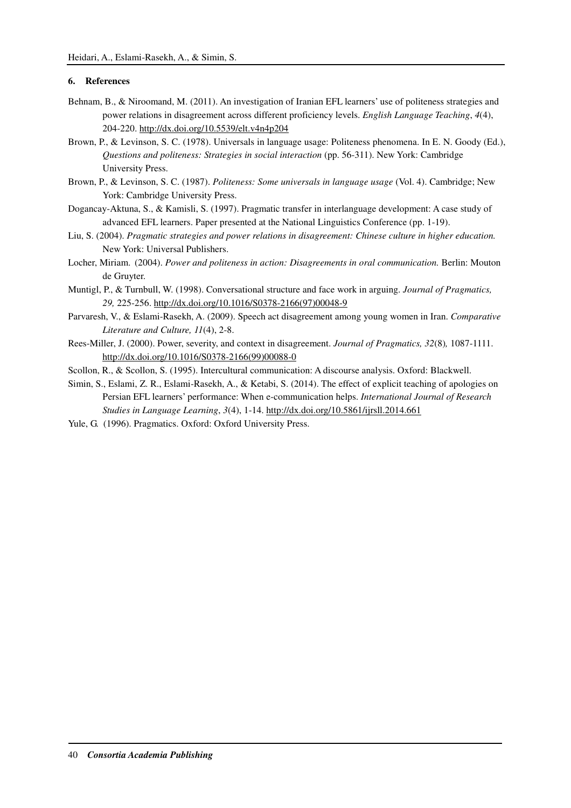# **6. References**

- Behnam, B., & Niroomand, M. (2011). An investigation of Iranian EFL learners' use of politeness strategies and power relations in disagreement across different proficiency levels. *English Language Teaching*, *4*(4), 204-220. http://dx.doi.org/10.5539/elt.v4n4p204
- Brown, P., & Levinson, S. C. (1978). Universals in language usage: Politeness phenomena. In E. N. Goody (Ed.), *Questions and politeness: Strategies in social interaction* (pp. 56-311). New York: Cambridge University Press.
- Brown, P., & Levinson, S. C. (1987). *Politeness: Some universals in language usage* (Vol. 4). Cambridge; New York: Cambridge University Press.
- Dogancay-Aktuna, S., & Kamisli, S. (1997). Pragmatic transfer in interlanguage development: A case study of advanced EFL learners. Paper presented at the National Linguistics Conference (pp. 1-19).
- Liu, S. (2004). *Pragmatic strategies and power relations in disagreement: Chinese culture in higher education.*  New York: Universal Publishers.
- Locher, Miriam. (2004). *Power and politeness in action: Disagreements in oral communication.* Berlin: Mouton de Gruyter.
- Muntigl, P., & Turnbull, W. (1998). Conversational structure and face work in arguing. *Journal of Pragmatics, 29,* 225-256. http://dx.doi.org/10.1016/S0378-2166(97)00048-9
- Parvaresh, V., & Eslami-Rasekh, A. (2009). Speech act disagreement among young women in Iran. *Comparative Literature and Culture, 11*(4), 2-8.
- Rees-Miller, J. (2000). Power, severity, and context in disagreement. *Journal of Pragmatics, 32*(8)*,* 1087-1111. http://dx.doi.org/10.1016/S0378-2166(99)00088-0
- Scollon, R., & Scollon, S. (1995). Intercultural communication: A discourse analysis. Oxford: Blackwell.
- Simin, S., Eslami, Z. R., Eslami-Rasekh, A., & Ketabi, S. (2014). The effect of explicit teaching of apologies on Persian EFL learners' performance: When e-communication helps. *International Journal of Research Studies in Language Learning*, *3*(4), 1-14. http://dx.doi.org/10.5861/ijrsll.2014.661
- Yule, G. (1996). Pragmatics. Oxford: Oxford University Press.